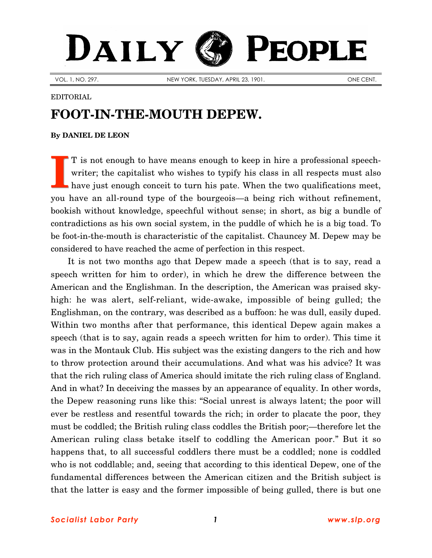## DAILY K **PEOPLE**

VOL. 1, NO. 297. NEW YORK, TUESDAY, APRIL 23, 1901. ONE CENT.

## EDITORIAL

## **FOOT-IN-THE-MOUTH DEPEW.**

## **By [DANIEL DE LEON](http://www.slp.org/De_Leon.htm)**

T is not enough to have means enough to keep in hire a professional speechwriter; the capitalist who wishes to typify his class in all respects must also have just enough conceit to turn his pate. When the two qualifications meet, you have an all-round type of the bourgeois—a being rich without refinement, bookish without knowledge, speechful without sense; in short, as big a bundle of contradictions as his own social system, in the puddle of which he is a big toad. To be foot-in-the-mouth is characteristic of the capitalist. Chauncey M. Depew may be considered to have reached the acme of perfection in this respect. **I**

It is not two months ago that Depew made a speech (that is to say, read a speech written for him to order), in which he drew the difference between the American and the Englishman. In the description, the American was praised skyhigh: he was alert, self-reliant, wide-awake, impossible of being gulled; the Englishman, on the contrary, was described as a buffoon: he was dull, easily duped. Within two months after that performance, this identical Depew again makes a speech (that is to say, again reads a speech written for him to order). This time it was in the Montauk Club. His subject was the existing dangers to the rich and how to throw protection around their accumulations. And what was his advice? It was that the rich ruling class of America should imitate the rich ruling class of England. And in what? In deceiving the masses by an appearance of equality. In other words, the Depew reasoning runs like this: "Social unrest is always latent; the poor will ever be restless and resentful towards the rich; in order to placate the poor, they must be coddled; the British ruling class coddles the British poor;—therefore let the American ruling class betake itself to coddling the American poor." But it so happens that, to all successful coddlers there must be a coddled; none is coddled who is not coddlable; and, seeing that according to this identical Depew, one of the fundamental differences between the American citizen and the British subject is that the latter is easy and the former impossible of being gulled, there is but one